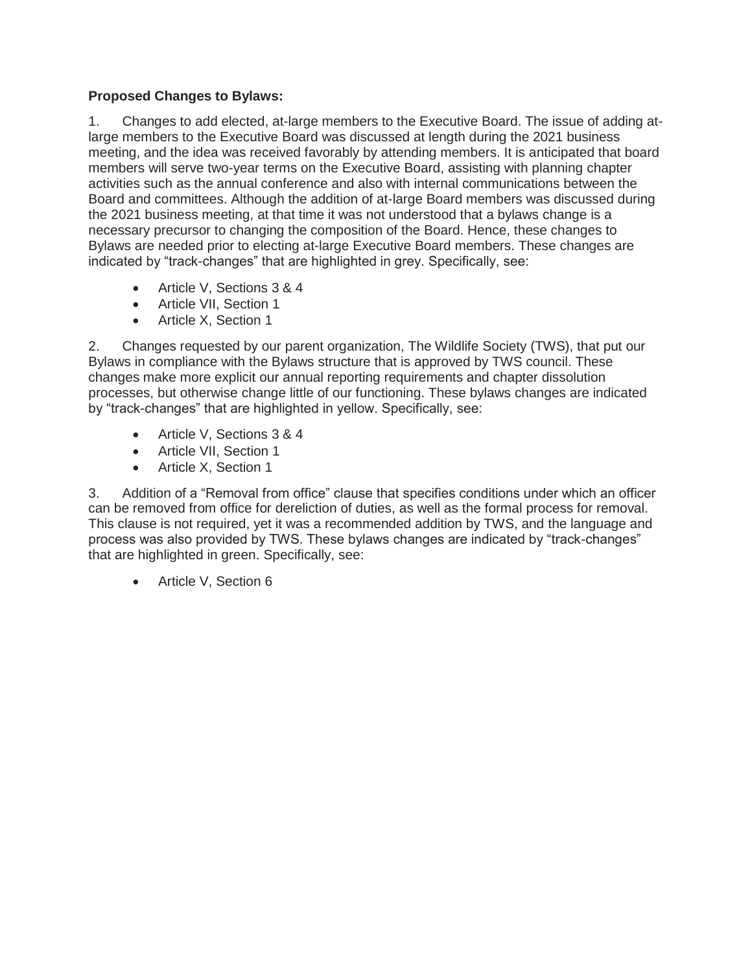# **Proposed Changes to Bylaws:**

1. Changes to add elected, at-large members to the Executive Board. The issue of adding atlarge members to the Executive Board was discussed at length during the 2021 business meeting, and the idea was received favorably by attending members. It is anticipated that board members will serve two-year terms on the Executive Board, assisting with planning chapter activities such as the annual conference and also with internal communications between the Board and committees. Although the addition of at-large Board members was discussed during the 2021 business meeting, at that time it was not understood that a bylaws change is a necessary precursor to changing the composition of the Board. Hence, these changes to Bylaws are needed prior to electing at-large Executive Board members. These changes are indicated by "track-changes" that are highlighted in grey. Specifically, see:

- Article V, Sections 3 & 4
- Article VII, Section 1
- Article X, Section 1

2. Changes requested by our parent organization, The Wildlife Society (TWS), that put our Bylaws in compliance with the Bylaws structure that is approved by TWS council. These changes make more explicit our annual reporting requirements and chapter dissolution processes, but otherwise change little of our functioning. These bylaws changes are indicated by "track-changes" that are highlighted in yellow. Specifically, see:

- Article V, Sections 3 & 4
- Article VII, Section 1
- Article X, Section 1

3. Addition of a "Removal from office" clause that specifies conditions under which an officer can be removed from office for dereliction of duties, as well as the formal process for removal. This clause is not required, yet it was a recommended addition by TWS, and the language and process was also provided by TWS. These bylaws changes are indicated by "track-changes" that are highlighted in green. Specifically, see:

• Article V, Section 6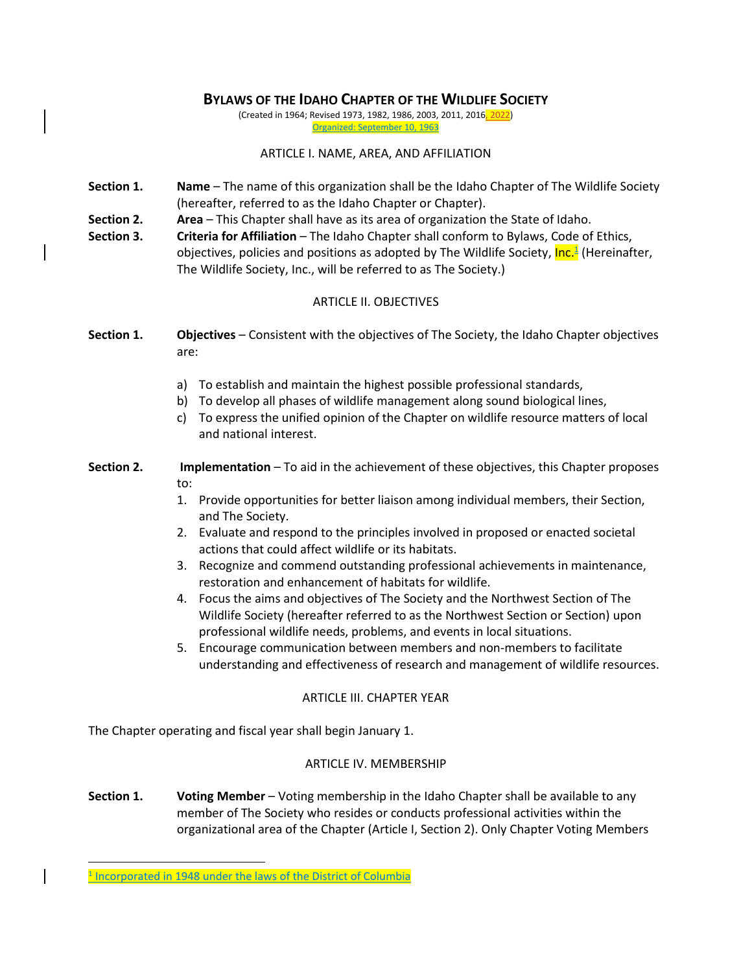## **BYLAWS OF THE IDAHO CHAPTER OF THE WILDLIFE SOCIETY**

(Created in 1964; Revised 1973, 1982, 1986, 2003, 2011, 2016, 2022) Organized: September 10, 1963

#### ARTICLE I. NAME, AREA, AND AFFILIATION

- **Section 1. Name**  The name of this organization shall be the Idaho Chapter of The Wildlife Society (hereafter, referred to as the Idaho Chapter or Chapter).
- **Section 2. Area**  This Chapter shall have as its area of organization the State of Idaho.
- **Section 3. Criteria for Affiliation** The Idaho Chapter shall conform to Bylaws, Code of Ethics, objectives, policies and positions as adopted by The Wildlife Society, <mark>Inc.<sup>1</sup></mark> (Hereinafter, The Wildlife Society, Inc., will be referred to as The Society.)

## ARTICLE II. OBJECTIVES

- **Section 1. Objectives**  Consistent with the objectives of The Society, the Idaho Chapter objectives are:
	- a) To establish and maintain the highest possible professional standards,
	- b) To develop all phases of wildlife management along sound biological lines,
	- c) To express the unified opinion of the Chapter on wildlife resource matters of local and national interest.
- **Section 2. Implementation**  To aid in the achievement of these objectives, this Chapter proposes to:
	- 1. Provide opportunities for better liaison among individual members, their Section, and The Society.
	- 2. Evaluate and respond to the principles involved in proposed or enacted societal actions that could affect wildlife or its habitats.
	- 3. Recognize and commend outstanding professional achievements in maintenance, restoration and enhancement of habitats for wildlife.
	- 4. Focus the aims and objectives of The Society and the Northwest Section of The Wildlife Society (hereafter referred to as the Northwest Section or Section) upon professional wildlife needs, problems, and events in local situations.
	- 5. Encourage communication between members and non-members to facilitate understanding and effectiveness of research and management of wildlife resources.

## ARTICLE III. CHAPTER YEAR

The Chapter operating and fiscal year shall begin January 1.

## ARTICLE IV. MEMBERSHIP

**Section 1. Voting Member –** Voting membership in the Idaho Chapter shall be available to any member of The Society who resides or conducts professional activities within the organizational area of the Chapter (Article I, Section 2). Only Chapter Voting Members

<sup>&</sup>lt;sup>1</sup> Incorporated in 1948 under the laws of the District of Columbia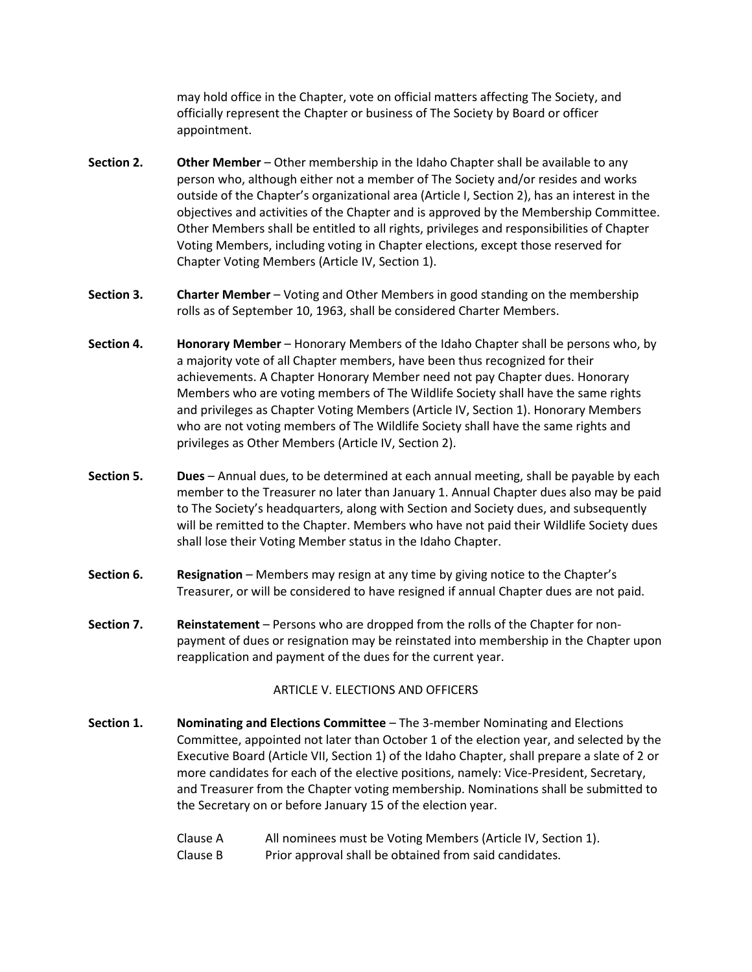may hold office in the Chapter, vote on official matters affecting The Society, and officially represent the Chapter or business of The Society by Board or officer appointment.

- **Section 2. Other Member** Other membership in the Idaho Chapter shall be available to any person who, although either not a member of The Society and/or resides and works outside of the Chapter's organizational area (Article I, Section 2), has an interest in the objectives and activities of the Chapter and is approved by the Membership Committee. Other Members shall be entitled to all rights, privileges and responsibilities of Chapter Voting Members, including voting in Chapter elections, except those reserved for Chapter Voting Members (Article IV, Section 1).
- **Section 3. Charter Member**  Voting and Other Members in good standing on the membership rolls as of September 10, 1963, shall be considered Charter Members.
- **Section 4. Honorary Member**  Honorary Members of the Idaho Chapter shall be persons who, by a majority vote of all Chapter members, have been thus recognized for their achievements. A Chapter Honorary Member need not pay Chapter dues. Honorary Members who are voting members of The Wildlife Society shall have the same rights and privileges as Chapter Voting Members (Article IV, Section 1). Honorary Members who are not voting members of The Wildlife Society shall have the same rights and privileges as Other Members (Article IV, Section 2).
- **Section 5. Dues**  Annual dues, to be determined at each annual meeting, shall be payable by each member to the Treasurer no later than January 1. Annual Chapter dues also may be paid to The Society's headquarters, along with Section and Society dues, and subsequently will be remitted to the Chapter. Members who have not paid their Wildlife Society dues shall lose their Voting Member status in the Idaho Chapter.
- **Section 6. Resignation** Members may resign at any time by giving notice to the Chapter's Treasurer, or will be considered to have resigned if annual Chapter dues are not paid.
- **Section 7. Reinstatement**  Persons who are dropped from the rolls of the Chapter for nonpayment of dues or resignation may be reinstated into membership in the Chapter upon reapplication and payment of the dues for the current year.

#### ARTICLE V. ELECTIONS AND OFFICERS

**Section 1. Nominating and Elections Committee** – The 3-member Nominating and Elections Committee, appointed not later than October 1 of the election year, and selected by the Executive Board (Article VII, Section 1) of the Idaho Chapter, shall prepare a slate of 2 or more candidates for each of the elective positions, namely: Vice-President, Secretary, and Treasurer from the Chapter voting membership. Nominations shall be submitted to the Secretary on or before January 15 of the election year.

> Clause A All nominees must be Voting Members (Article IV, Section 1). Clause B Prior approval shall be obtained from said candidates.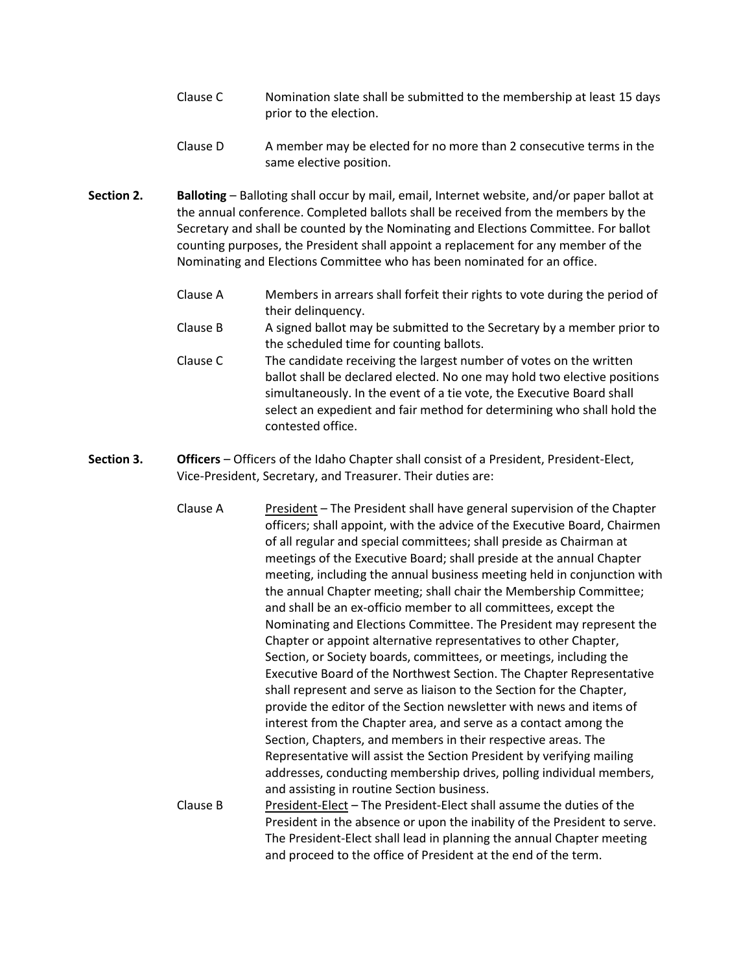- Clause C Nomination slate shall be submitted to the membership at least 15 days prior to the election.
- Clause D A member may be elected for no more than 2 consecutive terms in the same elective position.
- **Section 2. Balloting Balloting shall occur by mail, email, Internet website, and/or paper ballot at** the annual conference. Completed ballots shall be received from the members by the Secretary and shall be counted by the Nominating and Elections Committee. For ballot counting purposes, the President shall appoint a replacement for any member of the Nominating and Elections Committee who has been nominated for an office.
	- Clause A Members in arrears shall forfeit their rights to vote during the period of their delinquency.
	- Clause B A signed ballot may be submitted to the Secretary by a member prior to the scheduled time for counting ballots.
	- Clause C The candidate receiving the largest number of votes on the written ballot shall be declared elected. No one may hold two elective positions simultaneously. In the event of a tie vote, the Executive Board shall select an expedient and fair method for determining who shall hold the contested office.
- **Section 3. Officers**  Officers of the Idaho Chapter shall consist of a President, President-Elect, Vice-President, Secretary, and Treasurer. Their duties are:
	- Clause A President The President shall have general supervision of the Chapter officers; shall appoint, with the advice of the Executive Board, Chairmen of all regular and special committees; shall preside as Chairman at meetings of the Executive Board; shall preside at the annual Chapter meeting, including the annual business meeting held in conjunction with the annual Chapter meeting; shall chair the Membership Committee; and shall be an ex-officio member to all committees, except the Nominating and Elections Committee. The President may represent the Chapter or appoint alternative representatives to other Chapter, Section, or Society boards, committees, or meetings, including the Executive Board of the Northwest Section. The Chapter Representative shall represent and serve as liaison to the Section for the Chapter, provide the editor of the Section newsletter with news and items of interest from the Chapter area, and serve as a contact among the Section, Chapters, and members in their respective areas. The Representative will assist the Section President by verifying mailing addresses, conducting membership drives, polling individual members, and assisting in routine Section business. Clause B President-Elect – The President-Elect shall assume the duties of the President in the absence or upon the inability of the President to serve. The President-Elect shall lead in planning the annual Chapter meeting

and proceed to the office of President at the end of the term.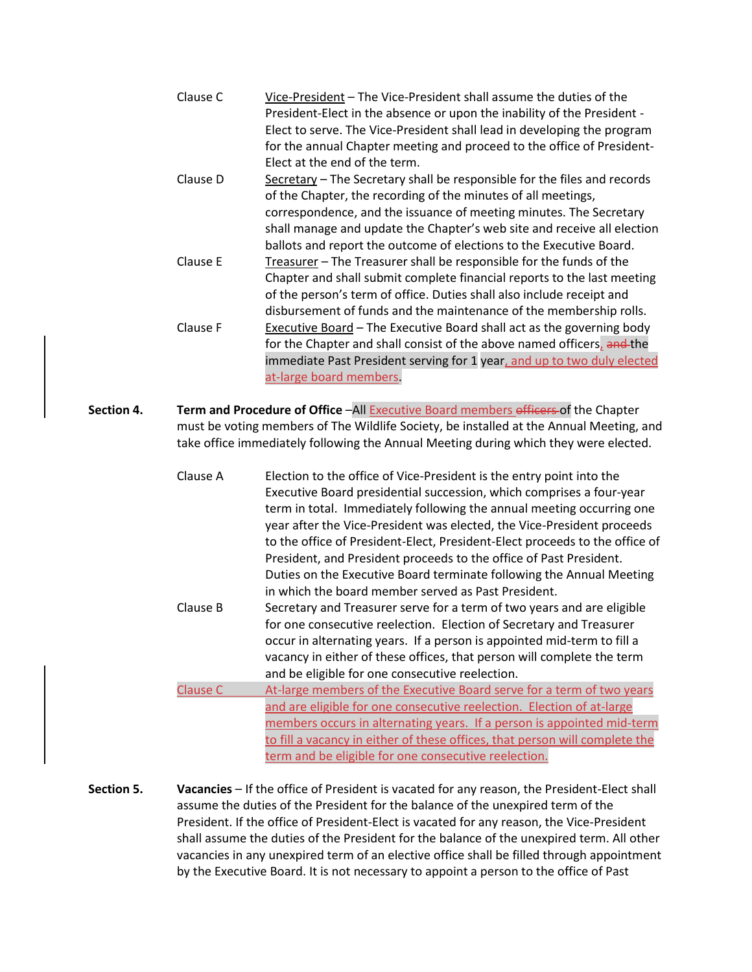|            | Clause C<br>Clause D<br>Clause E<br>Clause F                                                                                                                                                                                                                         | Vice-President - The Vice-President shall assume the duties of the<br>President-Elect in the absence or upon the inability of the President -<br>Elect to serve. The Vice-President shall lead in developing the program<br>for the annual Chapter meeting and proceed to the office of President-<br>Elect at the end of the term.<br>Secretary - The Secretary shall be responsible for the files and records<br>of the Chapter, the recording of the minutes of all meetings,<br>correspondence, and the issuance of meeting minutes. The Secretary<br>shall manage and update the Chapter's web site and receive all election<br>ballots and report the outcome of elections to the Executive Board.<br>Treasurer - The Treasurer shall be responsible for the funds of the<br>Chapter and shall submit complete financial reports to the last meeting<br>of the person's term of office. Duties shall also include receipt and<br>disbursement of funds and the maintenance of the membership rolls.<br><b>Executive Board</b> - The Executive Board shall act as the governing body |  |
|------------|----------------------------------------------------------------------------------------------------------------------------------------------------------------------------------------------------------------------------------------------------------------------|-------------------------------------------------------------------------------------------------------------------------------------------------------------------------------------------------------------------------------------------------------------------------------------------------------------------------------------------------------------------------------------------------------------------------------------------------------------------------------------------------------------------------------------------------------------------------------------------------------------------------------------------------------------------------------------------------------------------------------------------------------------------------------------------------------------------------------------------------------------------------------------------------------------------------------------------------------------------------------------------------------------------------------------------------------------------------------------------|--|
|            |                                                                                                                                                                                                                                                                      | for the Chapter and shall consist of the above named officers, and the<br>immediate Past President serving for 1 year, and up to two duly elected<br>at-large board members                                                                                                                                                                                                                                                                                                                                                                                                                                                                                                                                                                                                                                                                                                                                                                                                                                                                                                               |  |
| Section 4. | Term and Procedure of Office -All Executive Board members officers of the Chapter<br>must be voting members of The Wildlife Society, be installed at the Annual Meeting, and<br>take office immediately following the Annual Meeting during which they were elected. |                                                                                                                                                                                                                                                                                                                                                                                                                                                                                                                                                                                                                                                                                                                                                                                                                                                                                                                                                                                                                                                                                           |  |
|            | Clause A                                                                                                                                                                                                                                                             | Election to the office of Vice-President is the entry point into the<br>Executive Board presidential succession, which comprises a four-year<br>term in total. Immediately following the annual meeting occurring one<br>year after the Vice-President was elected, the Vice-President proceeds<br>to the office of President-Elect, President-Elect proceeds to the office of<br>President, and President proceeds to the office of Past President.<br>Duties on the Executive Board terminate following the Annual Meeting<br>in which the board member served as Past President.                                                                                                                                                                                                                                                                                                                                                                                                                                                                                                       |  |
|            | Clause B                                                                                                                                                                                                                                                             | Secretary and Treasurer serve for a term of two years and are eligible<br>for one consecutive reelection. Election of Secretary and Treasurer<br>occur in alternating years. If a person is appointed mid-term to fill a<br>vacancy in either of these offices, that person will complete the term<br>and be eligible for one consecutive reelection.                                                                                                                                                                                                                                                                                                                                                                                                                                                                                                                                                                                                                                                                                                                                     |  |
|            | <b>Clause C</b>                                                                                                                                                                                                                                                      | At-large members of the Executive Board serve for a term of two years<br>and are eligible for one consecutive reelection. Election of at-large<br>members occurs in alternating years. If a person is appointed mid-term<br>to fill a vacancy in either of these offices, that person will complete the                                                                                                                                                                                                                                                                                                                                                                                                                                                                                                                                                                                                                                                                                                                                                                                   |  |

**Section 5. Vacancies** – If the office of President is vacated for any reason, the President-Elect shall assume the duties of the President for the balance of the unexpired term of the President. If the office of President-Elect is vacated for any reason, the Vice-President shall assume the duties of the President for the balance of the unexpired term. All other vacancies in any unexpired term of an elective office shall be filled through appointment by the Executive Board. It is not necessary to appoint a person to the office of Past

term and be eligible for one consecutive reelection.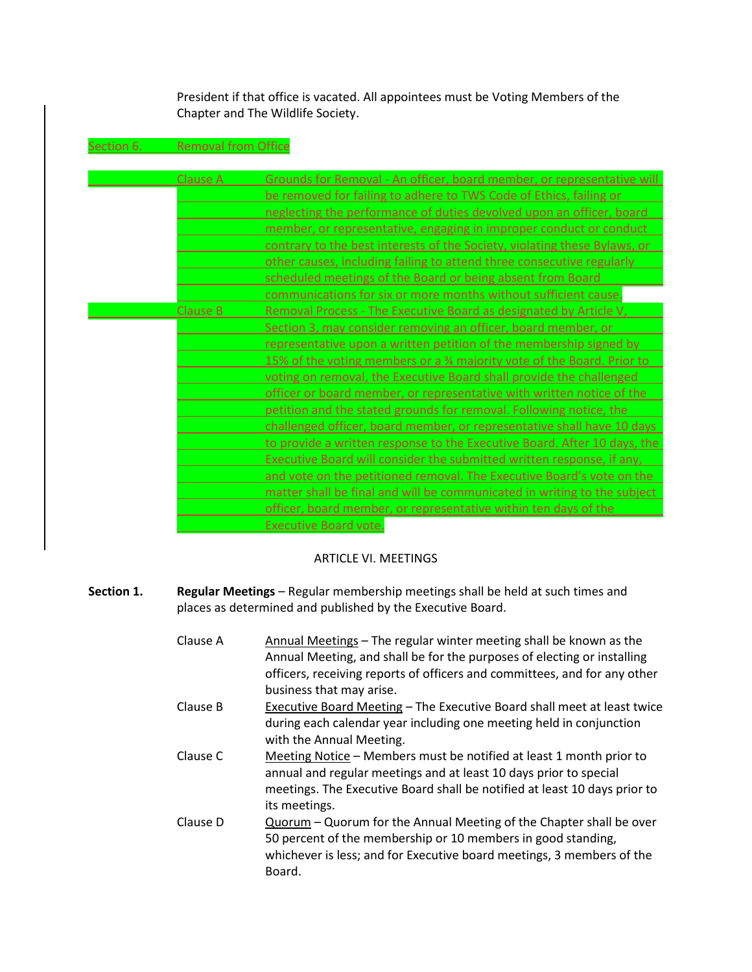President if that office is vacated. All appointees must be Voting Members of the Chapter and The Wildlife Society.

Section 6. Removal from Office

| <b>Clause A</b> | Grounds for Removal - An officer, board member, or representative will              |
|-----------------|-------------------------------------------------------------------------------------|
|                 | be removed for failing to adhere to TWS Code of Ethics, failing or                  |
|                 | neglecting the performance of duties devolved upon an officer, board                |
|                 | member, or representative, engaging in improper conduct or conduct                  |
|                 | contrary to the best interests of the Society, violating these Bylaws, or           |
|                 | other causes, including failing to attend three consecutive regularly               |
|                 | scheduled meetings of the Board or being absent from Board                          |
|                 | communications for six or more months without sufficient cause.                     |
| Clause B        | Removal Process - The Executive Board as designated by Article V,                   |
|                 | Section 3, may consider removing an officer, board member, or                       |
|                 | representative upon a written petition of the membership signed by                  |
|                 | 15% of the voting members or a <sup>3</sup> /4 majority vote of the Board. Prior to |
|                 | voting on removal, the Executive Board shall provide the challenged                 |
|                 | officer or board member, or representative with written notice of the               |
|                 | petition and the stated grounds for removal. Following notice, the                  |
|                 | challenged officer, board member, or representative shall have 10 days              |
|                 | to provide a written response to the Executive Board. After 10 days, the            |
|                 | Executive Board will consider the submitted written response, if any,               |
|                 | and vote on the petitioned removal. The Executive Board's vote on the               |
|                 | matter shall be final and will be communicated in writing to the subject            |
|                 | officer, board member, or representative within ten days of the                     |
|                 | <b>Executive Board vote.</b>                                                        |

## ARTICLE VI. MEETINGS

- **Section 1. Regular Meetings Regular membership meetings shall be held at such times and** places as determined and published by the Executive Board.
	- Clause A Annual Meetings The regular winter meeting shall be known as the Annual Meeting, and shall be for the purposes of electing or installing officers, receiving reports of officers and committees, and for any other business that may arise. Clause B Executive Board Meeting – The Executive Board shall meet at least twice during each calendar year including one meeting held in conjunction with the Annual Meeting. Clause C Meeting Notice – Members must be notified at least 1 month prior to annual and regular meetings and at least 10 days prior to special meetings. The Executive Board shall be notified at least 10 days prior to its meetings. Clause D Quorum – Quorum for the Annual Meeting of the Chapter shall be over 50 percent of the membership or 10 members in good standing, whichever is less; and for Executive board meetings, 3 members of the Board.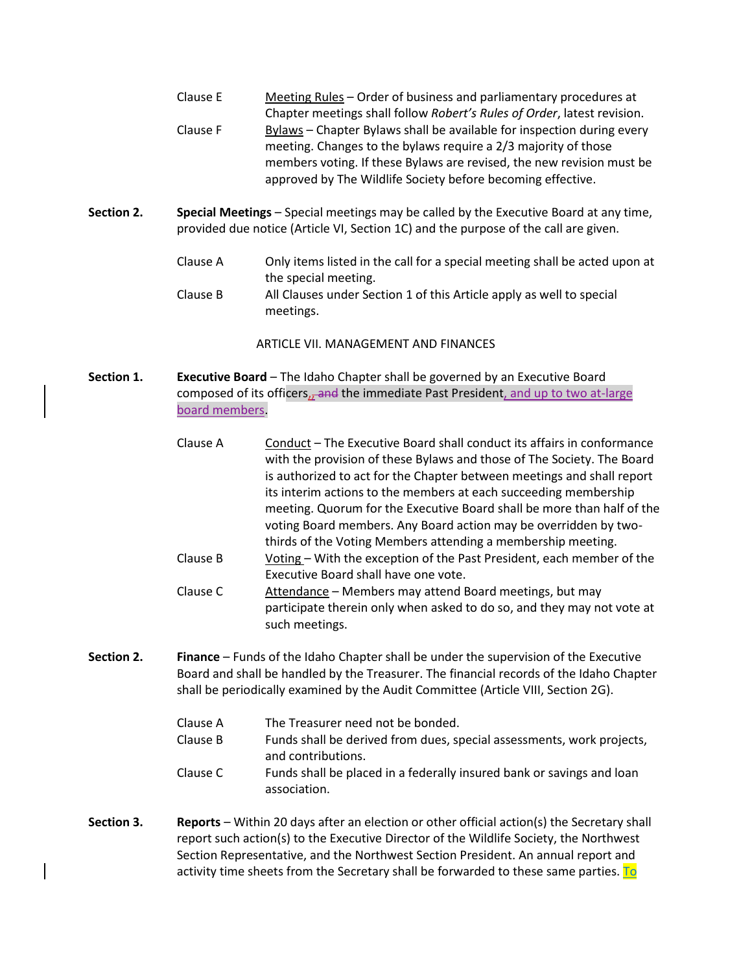| Clause E | Meeting Rules - Order of business and parliamentary procedures at       |
|----------|-------------------------------------------------------------------------|
|          | Chapter meetings shall follow Robert's Rules of Order, latest revision. |
| Clause F | Bylaws – Chapter Bylaws shall be available for inspection during every  |
|          | meeting. Changes to the bylaws require a 2/3 majority of those          |
|          | members voting. If these Bylaws are revised, the new revision must be   |
|          | approved by The Wildlife Society before becoming effective.             |

- **Section 2. Special Meetings**  Special meetings may be called by the Executive Board at any time, provided due notice (Article VI, Section 1C) and the purpose of the call are given.
	- Clause A Only items listed in the call for a special meeting shall be acted upon at the special meeting. Clause B All Clauses under Section 1 of this Article apply as well to special

ARTICLE VII. MANAGEMENT AND FINANCES

**Section 1. Executive Board** – The Idaho Chapter shall be governed by an Executive Board composed of its officers, and the immediate Past President, and up to two at-large board members.

meetings.

- Clause A Conduct The Executive Board shall conduct its affairs in conformance with the provision of these Bylaws and those of The Society. The Board is authorized to act for the Chapter between meetings and shall report its interim actions to the members at each succeeding membership meeting. Quorum for the Executive Board shall be more than half of the voting Board members. Any Board action may be overridden by twothirds of the Voting Members attending a membership meeting. Clause B Voting – With the exception of the Past President, each member of the
- Executive Board shall have one vote. Clause C Attendance – Members may attend Board meetings, but may participate therein only when asked to do so, and they may not vote at
- **Section 2. Finance**  Funds of the Idaho Chapter shall be under the supervision of the Executive Board and shall be handled by the Treasurer. The financial records of the Idaho Chapter shall be periodically examined by the Audit Committee (Article VIII, Section 2G).
	- Clause A The Treasurer need not be bonded.

such meetings.

- Clause B Funds shall be derived from dues, special assessments, work projects, and contributions.
- Clause C Funds shall be placed in a federally insured bank or savings and loan association.
- **Section 3. Reports**  Within 20 days after an election or other official action(s) the Secretary shall report such action(s) to the Executive Director of the Wildlife Society, the Northwest Section Representative, and the Northwest Section President. An annual report and activity time sheets from the Secretary shall be forwarded to these same parties. To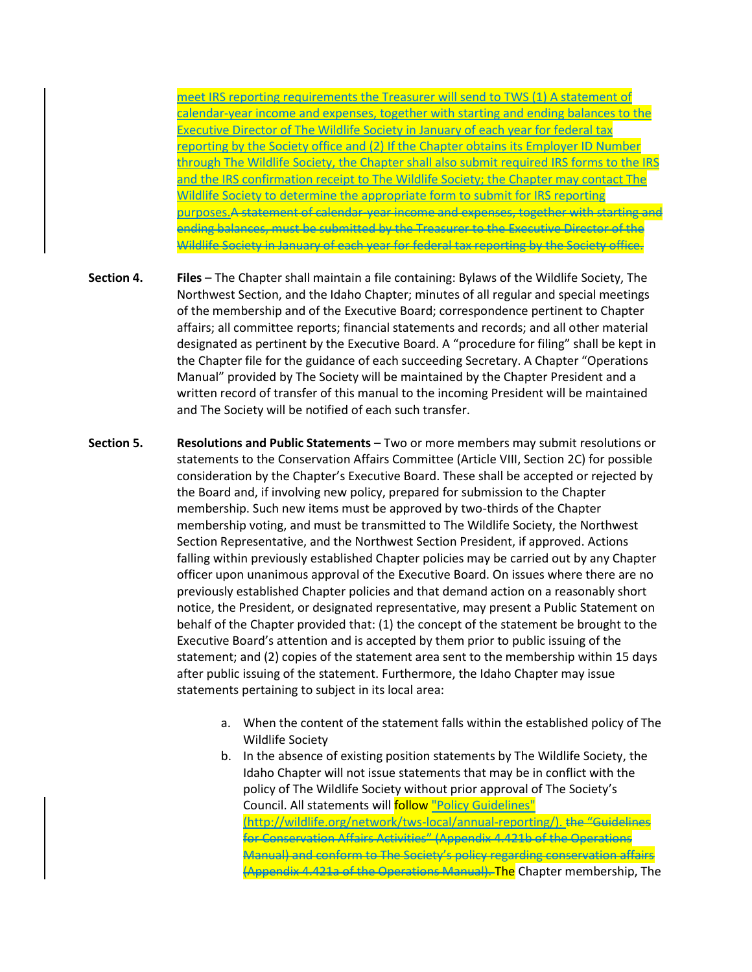meet IRS reporting requirements the Treasurer will send to TWS (1) A statement of calendar-year income and expenses, together with starting and ending balances to the Executive Director of The Wildlife Society in January of each year for federal tax reporting by the Society office and (2) If the Chapter obtains its Employer ID Number through The Wildlife Society, the Chapter shall also submit required IRS forms to the IRS and the IRS confirmation receipt to The Wildlife Society; the Chapter may contact The Wildlife Society to determine the appropriate form to submit for IRS reporting purposes.A statement of calendar-year income and expenses, together with starting and ending balances, must be submitted by the Treasurer to the Executive Director of the Wildlife Society in January of each year for federal tax reporting by the Society office.

- **Section 4. Files**  The Chapter shall maintain a file containing: Bylaws of the Wildlife Society, The Northwest Section, and the Idaho Chapter; minutes of all regular and special meetings of the membership and of the Executive Board; correspondence pertinent to Chapter affairs; all committee reports; financial statements and records; and all other material designated as pertinent by the Executive Board. A "procedure for filing" shall be kept in the Chapter file for the guidance of each succeeding Secretary. A Chapter "Operations Manual" provided by The Society will be maintained by the Chapter President and a written record of transfer of this manual to the incoming President will be maintained and The Society will be notified of each such transfer.
- **Section 5. Resolutions and Public Statements**  Two or more members may submit resolutions or statements to the Conservation Affairs Committee (Article VIII, Section 2C) for possible consideration by the Chapter's Executive Board. These shall be accepted or rejected by the Board and, if involving new policy, prepared for submission to the Chapter membership. Such new items must be approved by two-thirds of the Chapter membership voting, and must be transmitted to The Wildlife Society, the Northwest Section Representative, and the Northwest Section President, if approved. Actions falling within previously established Chapter policies may be carried out by any Chapter officer upon unanimous approval of the Executive Board. On issues where there are no previously established Chapter policies and that demand action on a reasonably short notice, the President, or designated representative, may present a Public Statement on behalf of the Chapter provided that: (1) the concept of the statement be brought to the Executive Board's attention and is accepted by them prior to public issuing of the statement; and (2) copies of the statement area sent to the membership within 15 days after public issuing of the statement. Furthermore, the Idaho Chapter may issue statements pertaining to subject in its local area:
	- a. When the content of the statement falls within the established policy of The Wildlife Society
	- b. In the absence of existing position statements by The Wildlife Society, the Idaho Chapter will not issue statements that may be in conflict with the policy of The Wildlife Society without prior approval of The Society's Council. All statements will follow "Policy Guidelines" (http://wildlife.org/network/tws-local/annual-reporting/). the "Guidelines for Conservation Affairs Activities" (Appendix 4.421b of the Operations Manual) and conform to The Society's policy regarding conservation affairs (Appendix 4.421a of the Operations Manual). The Chapter membership, The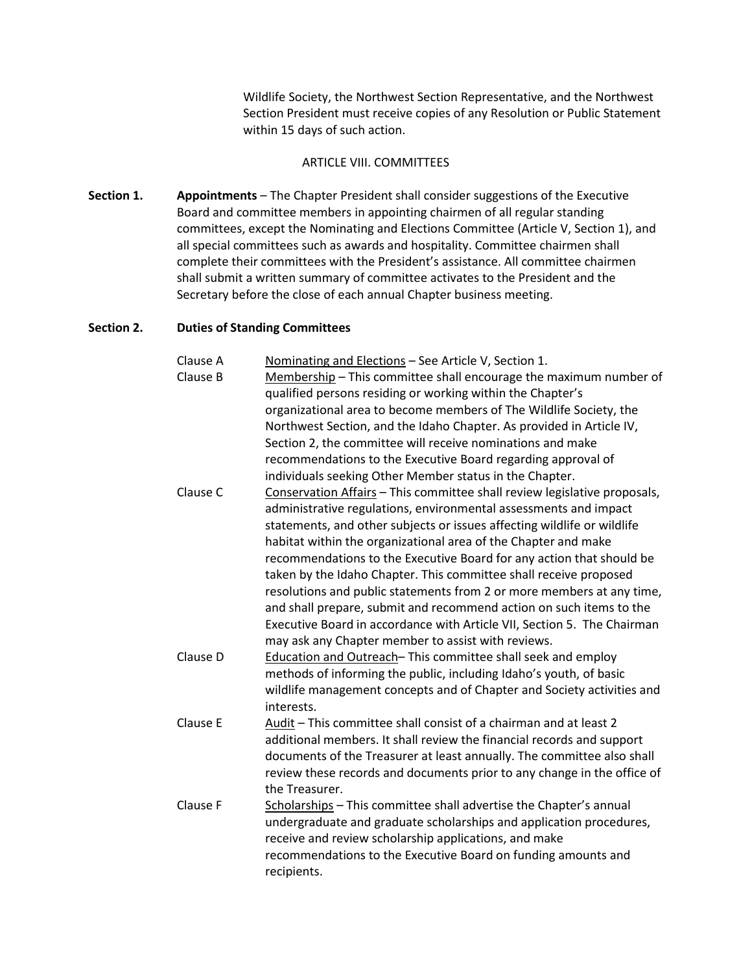Wildlife Society, the Northwest Section Representative, and the Northwest Section President must receive copies of any Resolution or Public Statement within 15 days of such action.

## ARTICLE VIII. COMMITTEES

**Section 1. Appointments** – The Chapter President shall consider suggestions of the Executive Board and committee members in appointing chairmen of all regular standing committees, except the Nominating and Elections Committee (Article V, Section 1), and all special committees such as awards and hospitality. Committee chairmen shall complete their committees with the President's assistance. All committee chairmen shall submit a written summary of committee activates to the President and the Secretary before the close of each annual Chapter business meeting.

## **Section 2. Duties of Standing Committees**

| Clause A | Nominating and Elections - See Article V, Section 1.                      |
|----------|---------------------------------------------------------------------------|
| Clause B | Membership - This committee shall encourage the maximum number of         |
|          | qualified persons residing or working within the Chapter's                |
|          | organizational area to become members of The Wildlife Society, the        |
|          | Northwest Section, and the Idaho Chapter. As provided in Article IV,      |
|          | Section 2, the committee will receive nominations and make                |
|          | recommendations to the Executive Board regarding approval of              |
|          | individuals seeking Other Member status in the Chapter.                   |
| Clause C | Conservation Affairs - This committee shall review legislative proposals, |
|          | administrative regulations, environmental assessments and impact          |
|          | statements, and other subjects or issues affecting wildlife or wildlife   |
|          | habitat within the organizational area of the Chapter and make            |
|          | recommendations to the Executive Board for any action that should be      |
|          | taken by the Idaho Chapter. This committee shall receive proposed         |
|          | resolutions and public statements from 2 or more members at any time,     |
|          | and shall prepare, submit and recommend action on such items to the       |
|          | Executive Board in accordance with Article VII, Section 5. The Chairman   |
|          | may ask any Chapter member to assist with reviews.                        |
| Clause D | Education and Outreach-This committee shall seek and employ               |
|          | methods of informing the public, including Idaho's youth, of basic        |
|          | wildlife management concepts and of Chapter and Society activities and    |
|          | interests.                                                                |
| Clause E | Audit - This committee shall consist of a chairman and at least 2         |
|          | additional members. It shall review the financial records and support     |
|          | documents of the Treasurer at least annually. The committee also shall    |
|          | review these records and documents prior to any change in the office of   |
|          | the Treasurer.                                                            |
| Clause F | Scholarships - This committee shall advertise the Chapter's annual        |
|          | undergraduate and graduate scholarships and application procedures,       |
|          | receive and review scholarship applications, and make                     |
|          | recommendations to the Executive Board on funding amounts and             |
|          | recipients.                                                               |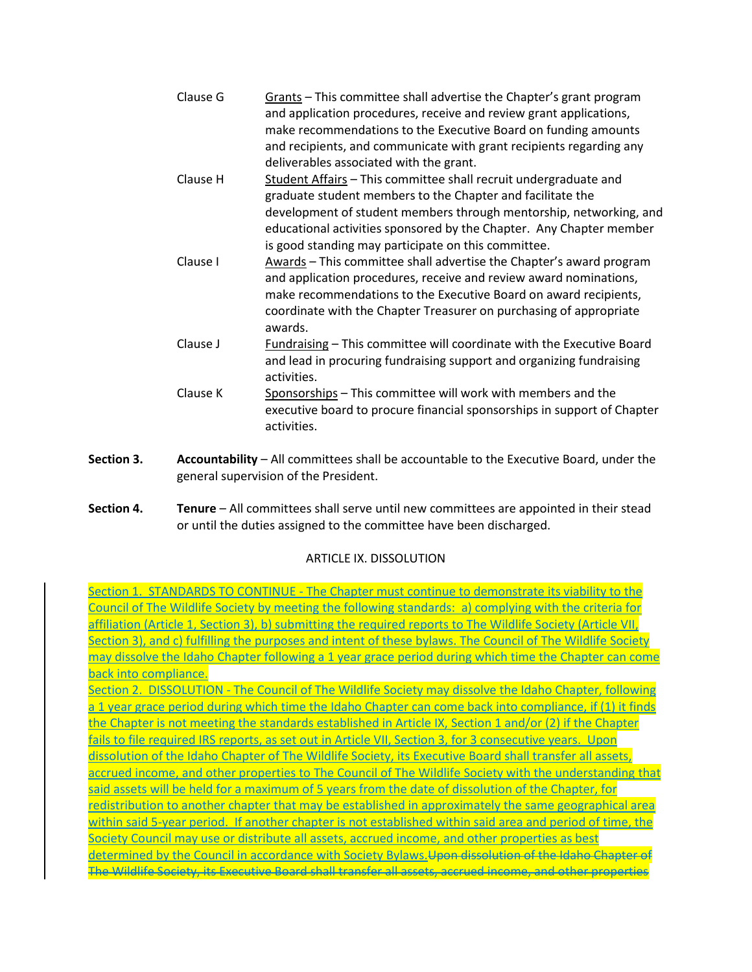| Clause G | Grants - This committee shall advertise the Chapter's grant program<br>and application procedures, receive and review grant applications,<br>make recommendations to the Executive Board on funding amounts<br>and recipients, and communicate with grant recipients regarding any                                                 |
|----------|------------------------------------------------------------------------------------------------------------------------------------------------------------------------------------------------------------------------------------------------------------------------------------------------------------------------------------|
|          | deliverables associated with the grant.                                                                                                                                                                                                                                                                                            |
| Clause H | Student Affairs - This committee shall recruit undergraduate and<br>graduate student members to the Chapter and facilitate the<br>development of student members through mentorship, networking, and<br>educational activities sponsored by the Chapter. Any Chapter member<br>is good standing may participate on this committee. |

- Clause I Awards This committee shall advertise the Chapter's award program and application procedures, receive and review award nominations, make recommendations to the Executive Board on award recipients, coordinate with the Chapter Treasurer on purchasing of appropriate awards.
- Clause J Fundraising This committee will coordinate with the Executive Board and lead in procuring fundraising support and organizing fundraising activities.
- Clause K Sponsorships This committee will work with members and the executive board to procure financial sponsorships in support of Chapter activities.
- **Section 3. Accountability**  All committees shall be accountable to the Executive Board, under the general supervision of the President.
- **Section 4. Tenure**  All committees shall serve until new committees are appointed in their stead or until the duties assigned to the committee have been discharged.

## ARTICLE IX. DISSOLUTION

Section 1. STANDARDS TO CONTINUE - The Chapter must continue to demonstrate its viability to the Council of The Wildlife Society by meeting the following standards: a) complying with the criteria for affiliation (Article 1, Section 3), b) submitting the required reports to The Wildlife Society (Article VII, Section 3), and c) fulfilling the purposes and intent of these bylaws. The Council of The Wildlife Society may dissolve the Idaho Chapter following a 1 year grace period during which time the Chapter can come back into compliance.

Section 2. DISSOLUTION - The Council of The Wildlife Society may dissolve the Idaho Chapter, following a 1 year grace period during which time the Idaho Chapter can come back into compliance, if (1) it finds the Chapter is not meeting the standards established in Article IX, Section 1 and/or (2) if the Chapter fails to file required IRS reports, as set out in Article VII, Section 3, for 3 consecutive years. Upon dissolution of the Idaho Chapter of The Wildlife Society, its Executive Board shall transfer all assets, accrued income, and other properties to The Council of The Wildlife Society with the understanding that said assets will be held for a maximum of 5 years from the date of dissolution of the Chapter, for redistribution to another chapter that may be established in approximately the same geographical area within said 5-year period. If another chapter is not established within said area and period of time, the Society Council may use or distribute all assets, accrued income, and other properties as best determined by the Council in accordance with Society Bylaws. Upon dissolution of the Idaho Chapter of The Wildlife Society, its Executive Board shall transfer all assets, accrued income, and other properties